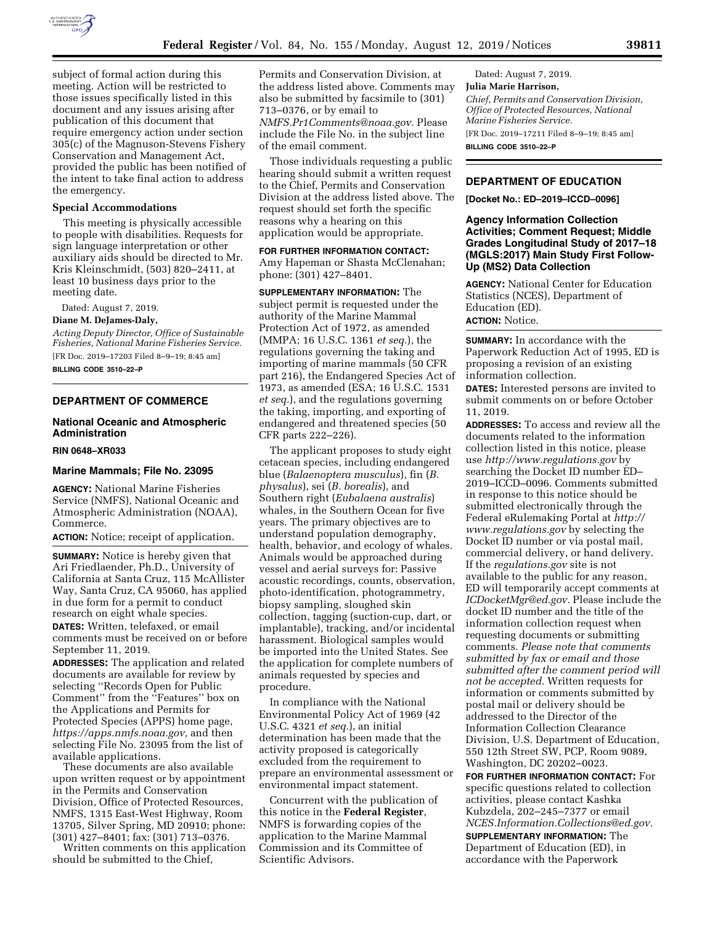

subject of formal action during this meeting. Action will be restricted to those issues specifically listed in this document and any issues arising after publication of this document that require emergency action under section 305(c) of the Magnuson-Stevens Fishery Conservation and Management Act, provided the public has been notified of the intent to take final action to address the emergency.

#### **Special Accommodations**

This meeting is physically accessible to people with disabilities. Requests for sign language interpretation or other auxiliary aids should be directed to Mr. Kris Kleinschmidt, (503) 820–2411, at least 10 business days prior to the meeting date.

Dated: August 7, 2019.

### **Diane M. DeJames-Daly,**

*Acting Deputy Director, Office of Sustainable Fisheries, National Marine Fisheries Service.*  [FR Doc. 2019–17203 Filed 8–9–19; 8:45 am] **BILLING CODE 3510–22–P** 

# **DEPARTMENT OF COMMERCE**

# **National Oceanic and Atmospheric Administration**

## **RIN 0648–XR033**

#### **Marine Mammals; File No. 23095**

**AGENCY:** National Marine Fisheries Service (NMFS), National Oceanic and Atmospheric Administration (NOAA), Commerce.

**ACTION:** Notice; receipt of application.

**SUMMARY:** Notice is hereby given that Ari Friedlaender, Ph.D., University of California at Santa Cruz, 115 McAllister Way, Santa Cruz, CA 95060, has applied in due form for a permit to conduct research on eight whale species. **DATES:** Written, telefaxed, or email comments must be received on or before September 11, 2019.

**ADDRESSES:** The application and related documents are available for review by selecting ''Records Open for Public Comment'' from the ''Features'' box on the Applications and Permits for Protected Species (APPS) home page, *[https://apps.nmfs.noaa.gov,](https://apps.nmfs.noaa.gov)* and then selecting File No. 23095 from the list of available applications.

These documents are also available upon written request or by appointment in the Permits and Conservation Division, Office of Protected Resources, NMFS, 1315 East-West Highway, Room 13705, Silver Spring, MD 20910; phone: (301) 427–8401; fax: (301) 713–0376.

Written comments on this application should be submitted to the Chief,

Permits and Conservation Division, at the address listed above. Comments may also be submitted by facsimile to (301) 713–0376, or by email to *[NMFS.Pr1Comments@noaa.gov.](mailto:NMFS.Pr1Comments@noaa.gov)* Please include the File No. in the subject line of the email comment.

Those individuals requesting a public hearing should submit a written request to the Chief, Permits and Conservation Division at the address listed above. The request should set forth the specific reasons why a hearing on this application would be appropriate.

#### **FOR FURTHER INFORMATION CONTACT:**

Amy Hapeman or Shasta McClenahan; phone: (301) 427–8401.

**SUPPLEMENTARY INFORMATION:** The subject permit is requested under the authority of the Marine Mammal Protection Act of 1972, as amended (MMPA; 16 U.S.C. 1361 *et seq.*), the regulations governing the taking and importing of marine mammals (50 CFR part 216), the Endangered Species Act of 1973, as amended (ESA; 16 U.S.C. 1531 *et seq.*), and the regulations governing the taking, importing, and exporting of endangered and threatened species (50 CFR parts 222–226).

The applicant proposes to study eight cetacean species, including endangered blue (*Balaenoptera musculus*), fin (*B. physalus*), sei (*B. borealis*), and Southern right (*Eubalaena australis*) whales, in the Southern Ocean for five years. The primary objectives are to understand population demography, health, behavior, and ecology of whales. Animals would be approached during vessel and aerial surveys for: Passive acoustic recordings, counts, observation, photo-identification, photogrammetry, biopsy sampling, sloughed skin collection, tagging (suction-cup, dart, or implantable), tracking, and/or incidental harassment. Biological samples would be imported into the United States. See the application for complete numbers of animals requested by species and procedure.

In compliance with the National Environmental Policy Act of 1969 (42 U.S.C. 4321 *et seq.*), an initial determination has been made that the activity proposed is categorically excluded from the requirement to prepare an environmental assessment or environmental impact statement.

Concurrent with the publication of this notice in the **Federal Register**, NMFS is forwarding copies of the application to the Marine Mammal Commission and its Committee of Scientific Advisors.

Dated: August 7, 2019. **Julia Marie Harrison,**  *Chief, Permits and Conservation Division, Office of Protected Resources, National Marine Fisheries Service.*  [FR Doc. 2019–17211 Filed 8–9–19; 8:45 am] **BILLING CODE 3510–22–P** 

## **DEPARTMENT OF EDUCATION**

**[Docket No.: ED–2019–ICCD–0096]** 

## **Agency Information Collection Activities; Comment Request; Middle Grades Longitudinal Study of 2017–18 (MGLS:2017) Main Study First Follow-Up (MS2) Data Collection**

**AGENCY:** National Center for Education Statistics (NCES), Department of Education (ED). **ACTION:** Notice.

**SUMMARY:** In accordance with the Paperwork Reduction Act of 1995, ED is proposing a revision of an existing information collection.

**DATES:** Interested persons are invited to submit comments on or before October 11, 2019.

**ADDRESSES:** To access and review all the documents related to the information collection listed in this notice, please use *<http://www.regulations.gov>*by searching the Docket ID number ED– 2019–ICCD–0096. Comments submitted in response to this notice should be submitted electronically through the Federal eRulemaking Portal at *[http://](http://www.regulations.gov) [www.regulations.gov](http://www.regulations.gov)* by selecting the Docket ID number or via postal mail, commercial delivery, or hand delivery. If the *regulations.gov* site is not available to the public for any reason, ED will temporarily accept comments at *[ICDocketMgr@ed.gov.](mailto:ICDocketMgr@ed.gov)* Please include the docket ID number and the title of the information collection request when requesting documents or submitting comments. *Please note that comments submitted by fax or email and those submitted after the comment period will not be accepted.* Written requests for information or comments submitted by postal mail or delivery should be addressed to the Director of the Information Collection Clearance Division, U.S. Department of Education, 550 12th Street SW, PCP, Room 9089, Washington, DC 20202–0023.

**FOR FURTHER INFORMATION CONTACT:** For specific questions related to collection activities, please contact Kashka Kubzdela, 202–245–7377 or email *[NCES.Information.Collections@ed.gov.](mailto:NCES.Information.Collections@ed.gov)* 

**SUPPLEMENTARY INFORMATION:** The Department of Education (ED), in accordance with the Paperwork